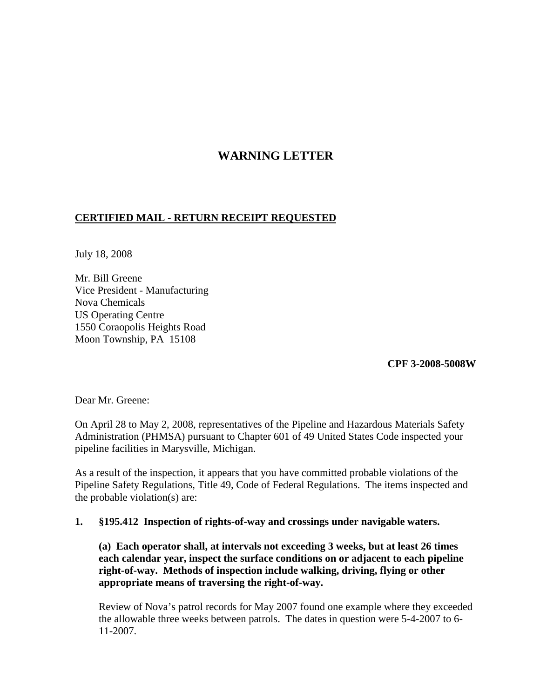## **WARNING LETTER**

## **CERTIFIED MAIL - RETURN RECEIPT REQUESTED**

July 18, 2008

Mr. Bill Greene Vice President - Manufacturing Nova Chemicals US Operating Centre 1550 Coraopolis Heights Road Moon Township, PA 15108

**CPF 3-2008-5008W**

Dear Mr. Greene:

On April 28 to May 2, 2008, representatives of the Pipeline and Hazardous Materials Safety Administration (PHMSA) pursuant to Chapter 601 of 49 United States Code inspected your pipeline facilities in Marysville, Michigan.

As a result of the inspection, it appears that you have committed probable violations of the Pipeline Safety Regulations, Title 49, Code of Federal Regulations. The items inspected and the probable violation(s) are:

## **1. §195.412 Inspection of rights-of-way and crossings under navigable waters.**

**(a) Each operator shall, at intervals not exceeding 3 weeks, but at least 26 times each calendar year, inspect the surface conditions on or adjacent to each pipeline right-of-way. Methods of inspection include walking, driving, flying or other appropriate means of traversing the right-of-way.**

Review of Nova's patrol records for May 2007 found one example where they exceeded the allowable three weeks between patrols. The dates in question were 5-4-2007 to 6- 11-2007.